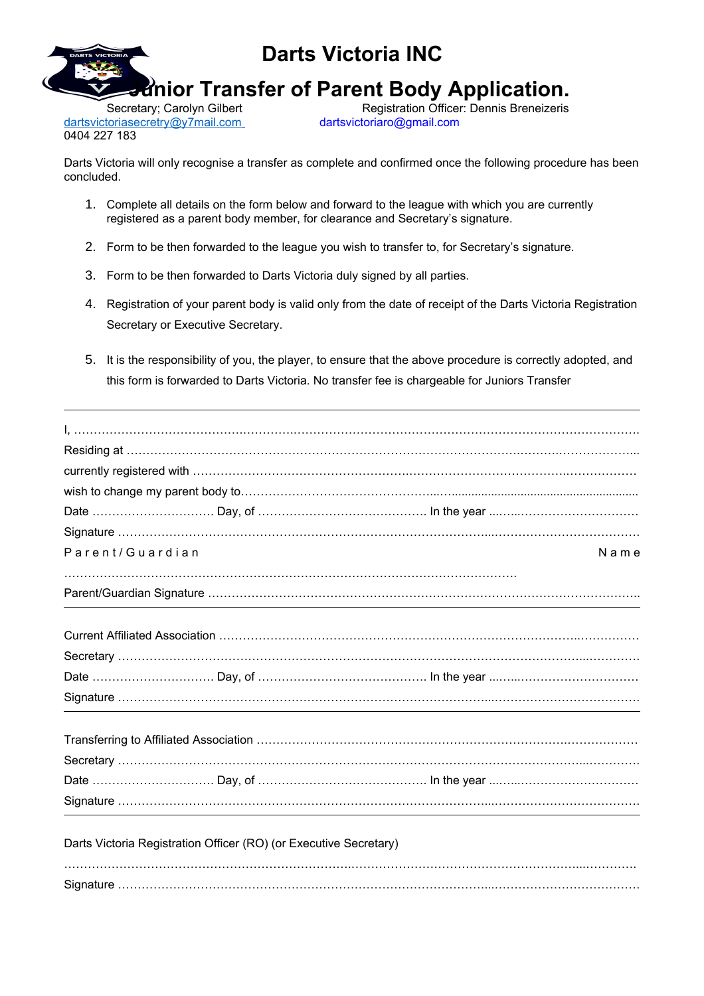

**Junior Transfer of Parent Body Application.** 

dartsvictoriasecretry@y7mail.com dartsvictoriaro@gmail.com 0404 227 183

Secretary; Carolyn Gilbert Registration Officer: Dennis Breneizeris

Darts Victoria will only recognise a transfer as complete and confirmed once the following procedure has been concluded.

- 1. Complete all details on the form below and forward to the league with which you are currently registered as a parent body member, for clearance and Secretary's signature.
- 2. Form to be then forwarded to the league you wish to transfer to, for Secretary's signature.
- 3. Form to be then forwarded to Darts Victoria duly signed by all parties.
- 4. Registration of your parent body is valid only from the date of receipt of the Darts Victoria Registration Secretary or Executive Secretary.
- 5. It is the responsibility of you, the player, to ensure that the above procedure is correctly adopted, and this form is forwarded to Darts Victoria. No transfer fee is chargeable for Juniors Transfer

| Parent/Guardian                                                   | Name |
|-------------------------------------------------------------------|------|
|                                                                   |      |
|                                                                   |      |
|                                                                   |      |
|                                                                   |      |
|                                                                   |      |
|                                                                   |      |
|                                                                   |      |
|                                                                   |      |
|                                                                   |      |
|                                                                   |      |
|                                                                   |      |
| Darts Victoria Registration Officer (RO) (or Executive Secretary) |      |
|                                                                   |      |